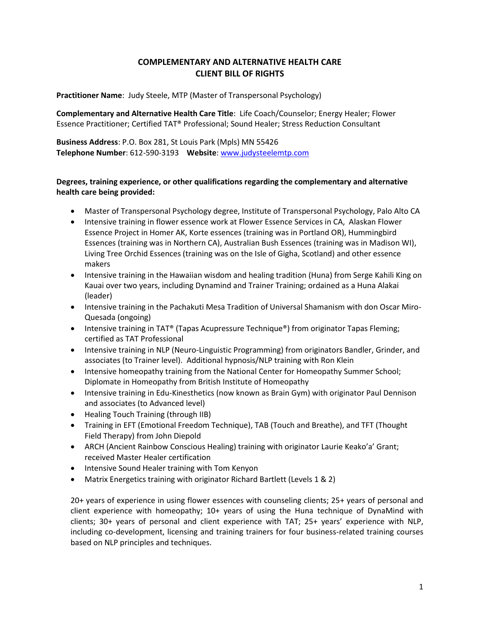# **COMPLEMENTARY AND ALTERNATIVE HEALTH CARE CLIENT BILL OF RIGHTS**

**Practitioner Name**: Judy Steele, MTP (Master of Transpersonal Psychology)

**Complementary and Alternative Health Care Title**: Life Coach/Counselor; Energy Healer; Flower Essence Practitioner; Certified TAT® Professional; Sound Healer; Stress Reduction Consultant

**Business Address**: P.O. Box 281, St Louis Park (Mpls) MN 55426 **Telephone Number**: 612-590-3193 **Website**[: www.judysteelemtp.com](http://www.judysteelemtp.com/)

# **Degrees, training experience, or other qualifications regarding the complementary and alternative health care being provided:**

- Master of Transpersonal Psychology degree, Institute of Transpersonal Psychology, Palo Alto CA
- Intensive training in flower essence work at Flower Essence Services in CA, Alaskan Flower Essence Project in Homer AK, Korte essences (training was in Portland OR), Hummingbird Essences (training was in Northern CA), Australian Bush Essences (training was in Madison WI), Living Tree Orchid Essences (training was on the Isle of Gigha, Scotland) and other essence makers
- Intensive training in the Hawaiian wisdom and healing tradition (Huna) from Serge Kahili King on Kauai over two years, including Dynamind and Trainer Training; ordained as a Huna Alakai (leader)
- Intensive training in the Pachakuti Mesa Tradition of Universal Shamanism with don Oscar Miro-Quesada (ongoing)
- **Intensive training in TAT® (Tapas Acupressure Technique®) from originator Tapas Fleming;** certified as TAT Professional
- Intensive training in NLP (Neuro-Linguistic Programming) from originators Bandler, Grinder, and associates (to Trainer level). Additional hypnosis/NLP training with Ron Klein
- Intensive homeopathy training from the National Center for Homeopathy Summer School; Diplomate in Homeopathy from British Institute of Homeopathy
- Intensive training in Edu-Kinesthetics (now known as Brain Gym) with originator Paul Dennison and associates (to Advanced level)
- Healing Touch Training (through IIB)
- Training in EFT (Emotional Freedom Technique), TAB (Touch and Breathe), and TFT (Thought Field Therapy) from John Diepold
- ARCH (Ancient Rainbow Conscious Healing) training with originator Laurie Keako'a' Grant; received Master Healer certification
- Intensive Sound Healer training with Tom Kenyon
- Matrix Energetics training with originator Richard Bartlett (Levels 1 & 2)

20+ years of experience in using flower essences with counseling clients; 25+ years of personal and client experience with homeopathy; 10+ years of using the Huna technique of DynaMind with clients; 30+ years of personal and client experience with TAT; 25+ years' experience with NLP, including co-development, licensing and training trainers for four business-related training courses based on NLP principles and techniques.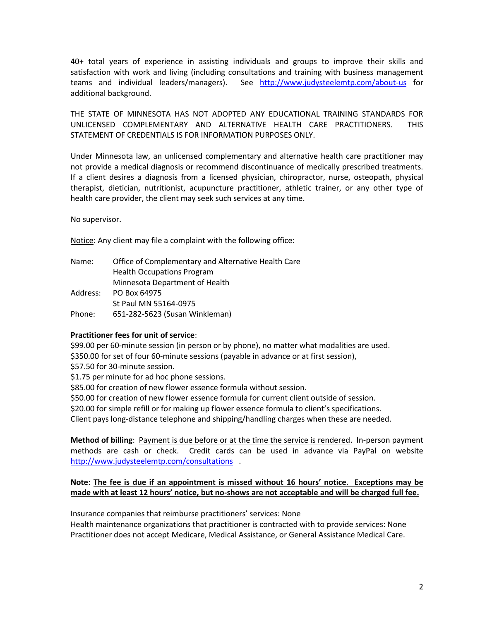40+ total years of experience in assisting individuals and groups to improve their skills and satisfaction with work and living (including consultations and training with business management teams and individual leaders/managers). See <http://www.judysteelemtp.com/about-us> for additional background.

THE STATE OF MINNESOTA HAS NOT ADOPTED ANY EDUCATIONAL TRAINING STANDARDS FOR UNLICENSED COMPLEMENTARY AND ALTERNATIVE HEALTH CARE PRACTITIONERS. THIS STATEMENT OF CREDENTIALS IS FOR INFORMATION PURPOSES ONLY.

Under Minnesota law, an unlicensed complementary and alternative health care practitioner may not provide a medical diagnosis or recommend discontinuance of medically prescribed treatments. If a client desires a diagnosis from a licensed physician, chiropractor, nurse, osteopath, physical therapist, dietician, nutritionist, acupuncture practitioner, athletic trainer, or any other type of health care provider, the client may seek such services at any time.

No supervisor.

Notice: Any client may file a complaint with the following office:

| Name:    | Office of Complementary and Alternative Health Care |
|----------|-----------------------------------------------------|
|          | <b>Health Occupations Program</b>                   |
|          | Minnesota Department of Health                      |
| Address: | PO Box 64975                                        |
|          | St Paul MN 55164-0975                               |
| Phone:   | 651-282-5623 (Susan Winkleman)                      |

#### **Practitioner fees for unit of service**:

\$99.00 per 60-minute session (in person or by phone), no matter what modalities are used. \$350.00 for set of four 60-minute sessions (payable in advance or at first session),

\$57.50 for 30-minute session.

\$1.75 per minute for ad hoc phone sessions.

\$85.00 for creation of new flower essence formula without session.

\$50.00 for creation of new flower essence formula for current client outside of session.

\$20.00 for simple refill or for making up flower essence formula to client's specifications.

Client pays long-distance telephone and shipping/handling charges when these are needed.

**Method of billing**: Payment is due before or at the time the service is rendered. In-person payment methods are cash or check. Credit cards can be used in advance via PayPal on website <http://www.judysteelemtp.com/consultations>.

## **Note**: **The fee is due if an appointment is missed without 16 hours' notice**. **Exceptions may be made with at least 12 hours' notice, but no-shows are not acceptable and will be charged full fee.**

Insurance companies that reimburse practitioners' services: None

Health maintenance organizations that practitioner is contracted with to provide services: None Practitioner does not accept Medicare, Medical Assistance, or General Assistance Medical Care.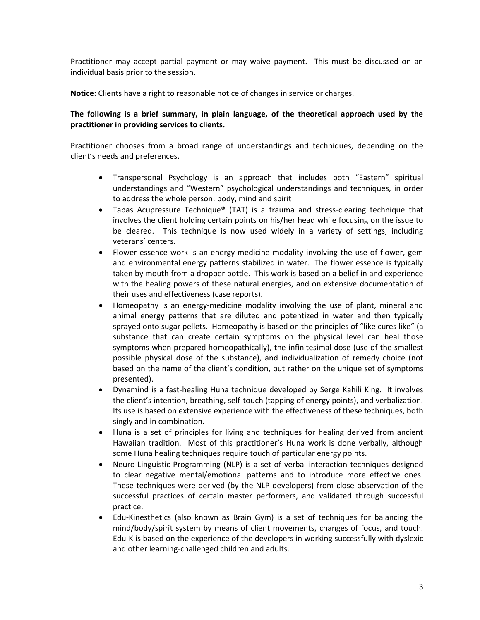Practitioner may accept partial payment or may waive payment. This must be discussed on an individual basis prior to the session.

**Notice**: Clients have a right to reasonable notice of changes in service or charges.

## **The following is a brief summary, in plain language, of the theoretical approach used by the practitioner in providing services to clients.**

Practitioner chooses from a broad range of understandings and techniques, depending on the client's needs and preferences.

- Transpersonal Psychology is an approach that includes both "Eastern" spiritual understandings and "Western" psychological understandings and techniques, in order to address the whole person: body, mind and spirit
- Tapas Acupressure Technique® (TAT) is a trauma and stress-clearing technique that involves the client holding certain points on his/her head while focusing on the issue to be cleared. This technique is now used widely in a variety of settings, including veterans' centers.
- Flower essence work is an energy-medicine modality involving the use of flower, gem and environmental energy patterns stabilized in water. The flower essence is typically taken by mouth from a dropper bottle. This work is based on a belief in and experience with the healing powers of these natural energies, and on extensive documentation of their uses and effectiveness (case reports).
- Homeopathy is an energy-medicine modality involving the use of plant, mineral and animal energy patterns that are diluted and potentized in water and then typically sprayed onto sugar pellets. Homeopathy is based on the principles of "like cures like" (a substance that can create certain symptoms on the physical level can heal those symptoms when prepared homeopathically), the infinitesimal dose (use of the smallest possible physical dose of the substance), and individualization of remedy choice (not based on the name of the client's condition, but rather on the unique set of symptoms presented).
- Dynamind is a fast-healing Huna technique developed by Serge Kahili King. It involves the client's intention, breathing, self-touch (tapping of energy points), and verbalization. Its use is based on extensive experience with the effectiveness of these techniques, both singly and in combination.
- Huna is a set of principles for living and techniques for healing derived from ancient Hawaiian tradition. Most of this practitioner's Huna work is done verbally, although some Huna healing techniques require touch of particular energy points.
- Neuro-Linguistic Programming (NLP) is a set of verbal-interaction techniques designed to clear negative mental/emotional patterns and to introduce more effective ones. These techniques were derived (by the NLP developers) from close observation of the successful practices of certain master performers, and validated through successful practice.
- Edu-Kinesthetics (also known as Brain Gym) is a set of techniques for balancing the mind/body/spirit system by means of client movements, changes of focus, and touch. Edu-K is based on the experience of the developers in working successfully with dyslexic and other learning-challenged children and adults.